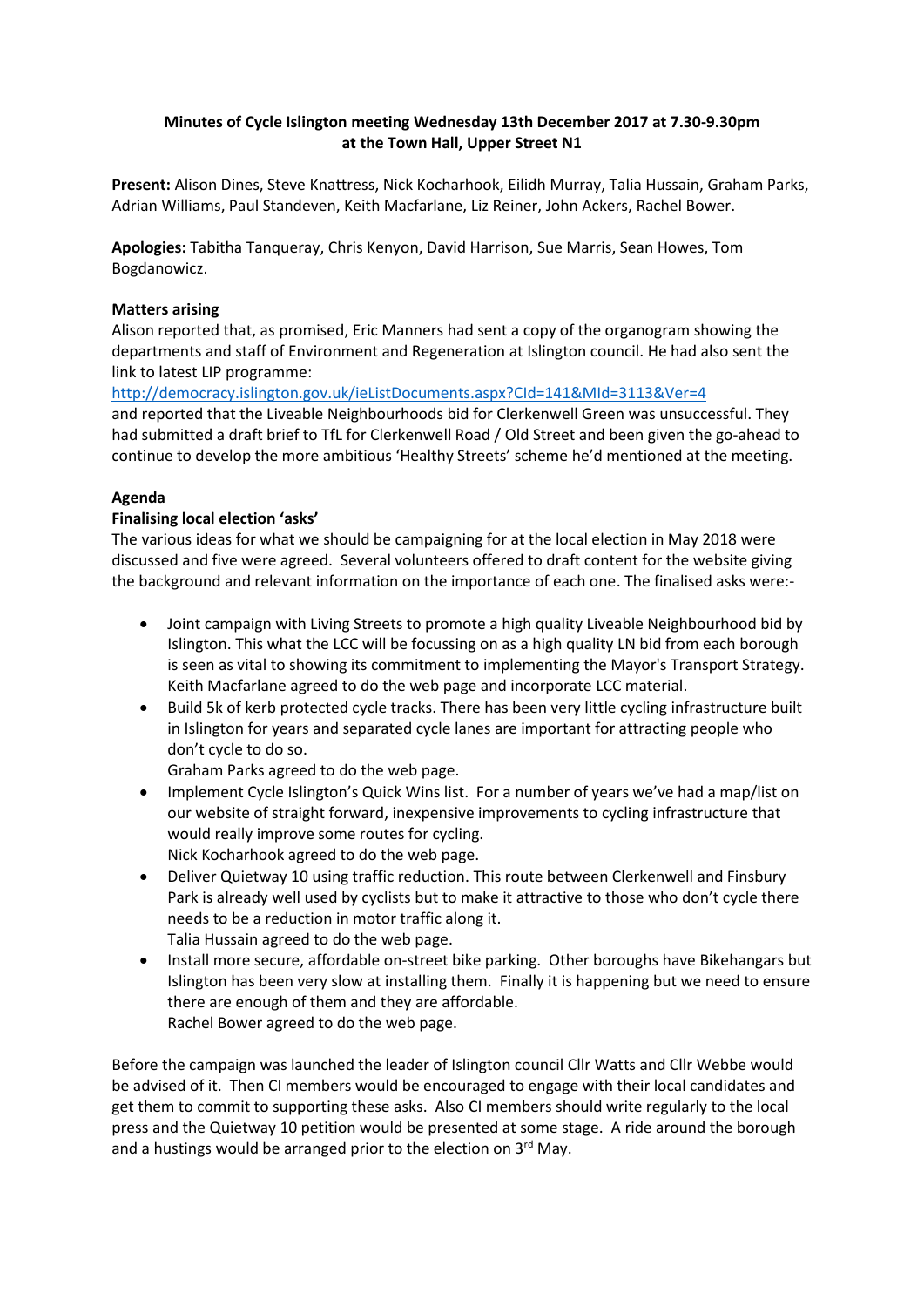# **Minutes of Cycle Islington meeting Wednesday 13th December 2017 at 7.30-9.30pm at the Town Hall, Upper Street N1**

**Present:** Alison Dines, Steve Knattress, Nick Kocharhook, Eilidh Murray, Talia Hussain, Graham Parks, Adrian Williams, Paul Standeven, Keith Macfarlane, Liz Reiner, John Ackers, Rachel Bower.

**Apologies:** Tabitha Tanqueray, Chris Kenyon, David Harrison, Sue Marris, Sean Howes, Tom Bogdanowicz.

### **Matters arising**

Alison reported that, as promised, Eric Manners had sent a copy of the organogram showing the departments and staff of Environment and Regeneration at Islington council. He had also sent the link to latest LIP programme:

<http://democracy.islington.gov.uk/ieListDocuments.aspx?CId=141&MId=3113&Ver=4>

and reported that the Liveable Neighbourhoods bid for Clerkenwell Green was unsuccessful. They had submitted a draft brief to TfL for Clerkenwell Road / Old Street and been given the go-ahead to continue to develop the more ambitious 'Healthy Streets' scheme he'd mentioned at the meeting.

## **Agenda**

## **Finalising local election 'asks'**

The various ideas for what we should be campaigning for at the local election in May 2018 were discussed and five were agreed. Several volunteers offered to draft content for the website giving the background and relevant information on the importance of each one. The finalised asks were:-

- Joint campaign with Living Streets to promote a high quality Liveable Neighbourhood bid by Islington. This what the LCC will be focussing on as a high quality LN bid from each borough is seen as vital to showing its commitment to implementing the Mayor's Transport Strategy. Keith Macfarlane agreed to do the web page and incorporate LCC material.
- Build 5k of kerb protected cycle tracks. There has been very little cycling infrastructure built in Islington for years and separated cycle lanes are important for attracting people who don't cycle to do so.

Graham Parks agreed to do the web page.

- Implement Cycle Islington's Quick Wins list. For a number of years we've had a map/list on our website of straight forward, inexpensive improvements to cycling infrastructure that would really improve some routes for cycling. Nick Kocharhook agreed to do the web page.
- Deliver Quietway 10 using traffic reduction. This route between Clerkenwell and Finsbury Park is already well used by cyclists but to make it attractive to those who don't cycle there needs to be a reduction in motor traffic along it. Talia Hussain agreed to do the web page.
- Install more secure, affordable on-street bike parking. Other boroughs have Bikehangars but Islington has been very slow at installing them. Finally it is happening but we need to ensure there are enough of them and they are affordable. Rachel Bower agreed to do the web page.

Before the campaign was launched the leader of Islington council Cllr Watts and Cllr Webbe would be advised of it. Then CI members would be encouraged to engage with their local candidates and get them to commit to supporting these asks. Also CI members should write regularly to the local press and the Quietway 10 petition would be presented at some stage. A ride around the borough and a hustings would be arranged prior to the election on  $3^{rd}$  May.